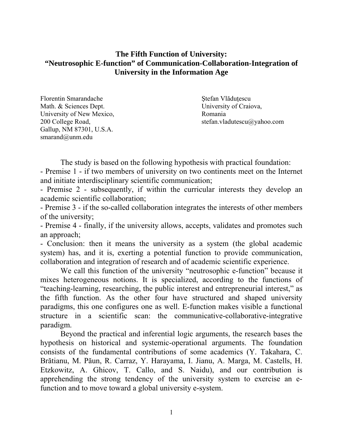# **The Fifth Function of University: "Neutrosophic E-function" of Communication-Collaboration-Integration of University in the Information Age**

Florentin Smarandache Stefan Vlăduțescu Math. & Sciences Dept. University of Craiova, University of New Mexico, Romania Gallup, NM 87301, U.S.A. smarand@unm.edu

200 College Road, stefan.vladutescu@yahoo.com

The study is based on the following hypothesis with practical foundation: - Premise 1 - if two members of university on two continents meet on the Internet and initiate interdisciplinary scientific communication;

- Premise 2 - subsequently, if within the curricular interests they develop an academic scientific collaboration;

- Premise 3 - if the so-called collaboration integrates the interests of other members of the university;

- Premise 4 - finally, if the university allows, accepts, validates and promotes such an approach;

- Conclusion: then it means the university as a system (the global academic system) has, and it is, exerting a potential function to provide communication, collaboration and integration of research and of academic scientific experience.

We call this function of the university "neutrosophic e-function" because it mixes heterogeneous notions. It is specialized, according to the functions of "teaching-learning, researching, the public interest and entrepreneurial interest," as the fifth function. As the other four have structured and shaped university paradigms, this one configures one as well. E-function makes visible a functional structure in a scientific scan: the communicative-collaborative-integrative paradigm.

Beyond the practical and inferential logic arguments, the research bases the hypothesis on historical and systemic-operational arguments. The foundation consists of the fundamental contributions of some academics (Y. Takahara, C. Brătianu, M. Păun, R. Carraz, Y. Harayama, I. Jianu, A. Marga, M. Castells, H. Etzkowitz, A. Ghicov, T. Callo, and S. Naidu), and our contribution is apprehending the strong tendency of the university system to exercise an efunction and to move toward a global university e-system.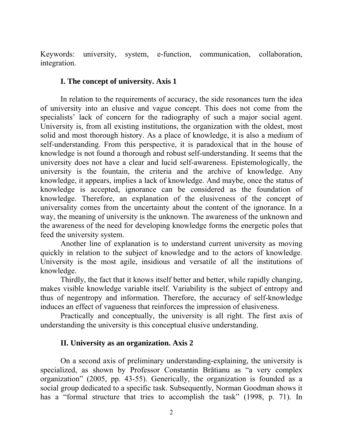Keywords: university, system, e-function, communication, collaboration, integration.

#### **I. The concept of university. Axis 1**

In relation to the requirements of accuracy, the side resonances turn the idea of university into an elusive and vague concept. This does not come from the specialists' lack of concern for the radiography of such a major social agent. University is, from all existing institutions, the organization with the oldest, most solid and most thorough history. As a place of knowledge, it is also a medium of self-understanding. From this perspective, it is paradoxical that in the house of knowledge is not found a thorough and robust self-understanding. It seems that the university does not have a clear and lucid self-awareness. Epistemologically, the university is the fountain, the criteria and the archive of knowledge. Any knowledge, it appears, implies a lack of knowledge. And maybe, once the status of knowledge is accepted, ignorance can be considered as the foundation of knowledge. Therefore, an explanation of the elusiveness of the concept of universality comes from the uncertainty about the content of the ignorance. In a way, the meaning of university is the unknown. The awareness of the unknown and the awareness of the need for developing knowledge forms the energetic poles that feed the university system.

 Another line of explanation is to understand current university as moving quickly in relation to the subject of knowledge and to the actors of knowledge. University is the most agile, insidious and versatile of all the institutions of knowledge.

 Thirdly, the fact that it knows itself better and better, while rapidly changing, makes visible knowledge variable itself. Variability is the subject of entropy and thus of negentropy and information. Therefore, the accuracy of self-knowledge induces an effect of vagueness that reinforces the impression of elusiveness.

 Practically and conceptually, the university is all right. The first axis of understanding the university is this conceptual elusive understanding.

#### **II. University as an organization. Axis 2**

 On a second axis of preliminary understanding-explaining, the university is specialized, as shown by Professor Constantin Brătianu as "a very complex organization" (2005, pp. 43-55). Generically, the organization is founded as a social group dedicated to a specific task. Subsequently, Norman Goodman shows it has a "formal structure that tries to accomplish the task" (1998, p. 71). In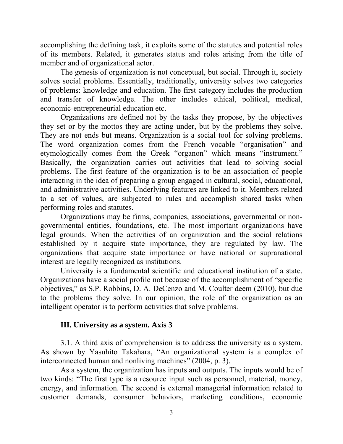accomplishing the defining task, it exploits some of the statutes and potential roles of its members. Related, it generates status and roles arising from the title of member and of organizational actor.

 The genesis of organization is not conceptual, but social. Through it, society solves social problems. Essentially, traditionally, university solves two categories of problems: knowledge and education. The first category includes the production and transfer of knowledge. The other includes ethical, political, medical, economic-entrepreneurial education etc.

 Organizations are defined not by the tasks they propose, by the objectives they set or by the mottos they are acting under, but by the problems they solve. They are not ends but means. Organization is a social tool for solving problems. The word organization comes from the French vocable "organisation" and etymologically comes from the Greek "organon" which means "instrument." Basically, the organization carries out activities that lead to solving social problems. The first feature of the organization is to be an association of people interacting in the idea of preparing a group engaged in cultural, social, educational, and administrative activities. Underlying features are linked to it. Members related to a set of values, are subjected to rules and accomplish shared tasks when performing roles and statutes.

 Organizations may be firms, companies, associations, governmental or nongovernmental entities, foundations, etc. The most important organizations have legal grounds. When the activities of an organization and the social relations established by it acquire state importance, they are regulated by law. The organizations that acquire state importance or have national or supranational interest are legally recognized as institutions.

University is a fundamental scientific and educational institution of a state. Organizations have a social profile not because of the accomplishment of "specific objectives," as S.P. Robbins, D. A. DeCenzo and M. Coulter deem (2010), but due to the problems they solve. In our opinion, the role of the organization as an intelligent operator is to perform activities that solve problems.

# **III. University as a system. Axis 3**

 3.1. A third axis of comprehension is to address the university as a system. As shown by Yasuhito Takahara, "An organizational system is a complex of interconnected human and nonliving machines" (2004, p. 3).

 As a system, the organization has inputs and outputs. The inputs would be of two kinds: "The first type is a resource input such as personnel, material, money, energy, and information. The second is external managerial information related to customer demands, consumer behaviors, marketing conditions, economic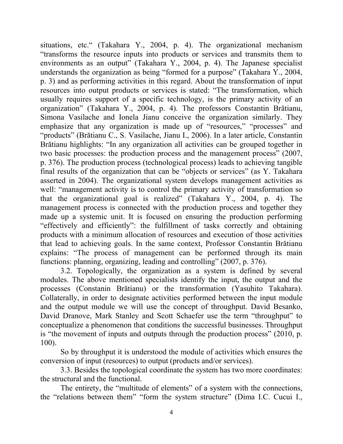situations, etc." (Takahara Y., 2004, p. 4). The organizational mechanism "transforms the resource inputs into products or services and transmits them to environments as an output" (Takahara Y., 2004, p. 4). The Japanese specialist understands the organization as being "formed for a purpose" (Takahara Y., 2004, p. 3) and as performing activities in this regard. About the transformation of input resources into output products or services is stated: "The transformation, which usually requires support of a specific technology, is the primary activity of an organization" (Takahara Y., 2004, p. 4). The professors Constantin Brătianu, Simona Vasilache and Ionela Jianu conceive the organization similarly. They emphasize that any organization is made up of "resources," "processes" and "products" (Brătianu C., S. Vasilache, Jianu I., 2006). In a later article, Constantin Brătianu highlights: "In any organization all activities can be grouped together in two basic processes: the production process and the management process" (2007, p. 376). The production process (technological process) leads to achieving tangible final results of the organization that can be "objects or services" (as Y. Takahara asserted in 2004). The organizational system develops management activities as well: "management activity is to control the primary activity of transformation so that the organizational goal is realized" (Takahara Y., 2004, p. 4). The management process is connected with the production process and together they made up a systemic unit. It is focused on ensuring the production performing "effectively and efficiently": the fulfillment of tasks correctly and obtaining products with a minimum allocation of resources and execution of those activities that lead to achieving goals. In the same context, Professor Constantin Brătianu explains: "The process of management can be performed through its main functions: planning, organizing, leading and controlling" (2007, p. 376).

3.2. Topologically, the organization as a system is defined by several modules. The above mentioned specialists identify the input, the output and the processes (Constanin Brătianu) or the transformation (Yasuhito Takahara). Collaterally, in order to designate activities performed between the input module and the output module we will use the concept of throughput. David Besanko, David Dranove, Mark Stanley and Scott Schaefer use the term "throughput" to conceptualize a phenomenon that conditions the successful businesses. Throughput is "the movement of inputs and outputs through the production process" (2010, p. 100).

 So by throughput it is understood the module of activities which ensures the conversion of input (resources) to output (products and/or services).

 3.3. Besides the topological coordinate the system has two more coordinates: the structural and the functional.

The entirety, the "multitude of elements" of a system with the connections, the "relations between them" "form the system structure" (Dima I.C. Cucui I.,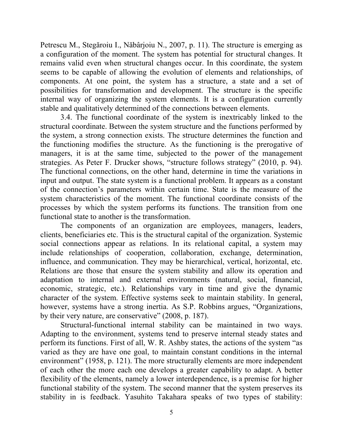Petrescu M., Stegăroiu I., Năbârjoiu N., 2007, p. 11). The structure is emerging as a configuration of the moment. The system has potential for structural changes. It remains valid even when structural changes occur. In this coordinate, the system seems to be capable of allowing the evolution of elements and relationships, of components. At one point, the system has a structure, a state and a set of possibilities for transformation and development. The structure is the specific internal way of organizing the system elements. It is a configuration currently stable and qualitatively determined of the connections between elements.

3.4. The functional coordinate of the system is inextricably linked to the structural coordinate. Between the system structure and the functions performed by the system, a strong connection exists. The structure determines the function and the functioning modifies the structure. As the functioning is the prerogative of managers, it is at the same time, subjected to the power of the management strategies. As Peter F. Drucker shows, "structure follows strategy" (2010, p. 94). The functional connections, on the other hand, determine in time the variations in input and output. The state system is a functional problem. It appears as a constant of the connection's parameters within certain time. State is the measure of the system characteristics of the moment. The functional coordinate consists of the processes by which the system performs its functions. The transition from one functional state to another is the transformation.

The components of an organization are employees, managers, leaders, clients, beneficiaries etc. This is the structural capital of the organization. Systemic social connections appear as relations. In its relational capital, a system may include relationships of cooperation, collaboration, exchange, determination, influence, and communication. They may be hierarchical, vertical, horizontal, etc. Relations are those that ensure the system stability and allow its operation and adaptation to internal and external environments (natural, social, financial, economic, strategic, etc.). Relationships vary in time and give the dynamic character of the system. Effective systems seek to maintain stability. In general, however, systems have a strong inertia. As S.P. Robbins argues, "Organizations, by their very nature, are conservative" (2008, p. 187).

 Structural-functional internal stability can be maintained in two ways. Adapting to the environment, systems tend to preserve internal steady states and perform its functions. First of all, W. R. Ashby states, the actions of the system "as varied as they are have one goal, to maintain constant conditions in the internal environment" (1958, p. 121). The more structurally elements are more independent of each other the more each one develops a greater capability to adapt. A better flexibility of the elements, namely a lower interdependence, is a premise for higher functional stability of the system. The second manner that the system preserves its stability in is feedback. Yasuhito Takahara speaks of two types of stability: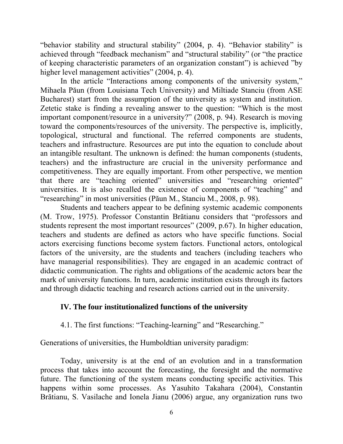"behavior stability and structural stability" (2004, p. 4). "Behavior stability" is achieved through "feedback mechanism" and "structural stability" (or "the practice of keeping characteristic parameters of an organization constant") is achieved "by higher level management activities" (2004, p. 4).

 In the article "Interactions among components of the university system," Mihaela Păun (from Louisiana Tech University) and Miltiade Stanciu (from ASE Bucharest) start from the assumption of the university as system and institution. Zetetic stake is finding a revealing answer to the question: "Which is the most important component/resource in a university?" (2008, p. 94). Research is moving toward the components/resources of the university. The perspective is, implicitly, topological, structural and functional. The referred components are students, teachers and infrastructure. Resources are put into the equation to conclude about an intangible resultant. The unknown is defined: the human components (students, teachers) and the infrastructure are crucial in the university performance and competitiveness. They are equally important. From other perspective, we mention that there are "teaching oriented" universities and "researching oriented" universities. It is also recalled the existence of components of "teaching" and "researching" in most universities (Păun M., Stanciu M., 2008, p. 98).

 Students and teachers appear to be defining systemic academic components (M. Trow, 1975). Professor Constantin Brătianu considers that "professors and students represent the most important resources" (2009, p.67). In higher education, teachers and students are defined as actors who have specific functions. Social actors exercising functions become system factors. Functional actors, ontological factors of the university, are the students and teachers (including teachers who have managerial responsibilities). They are engaged in an academic contract of didactic communication. The rights and obligations of the academic actors bear the mark of university functions. In turn, academic institution exists through its factors and through didactic teaching and research actions carried out in the university.

# **IV. The four institutionalized functions of the university**

4.1. The first functions: "Teaching-learning" and "Researching."

Generations of universities, the Humboldtian university paradigm:

 Today, university is at the end of an evolution and in a transformation process that takes into account the forecasting, the foresight and the normative future. The functioning of the system means conducting specific activities. This happens within some processes. As Yasuhito Takahara (2004), Constantin Brătianu, S. Vasilache and Ionela Jianu (2006) argue, any organization runs two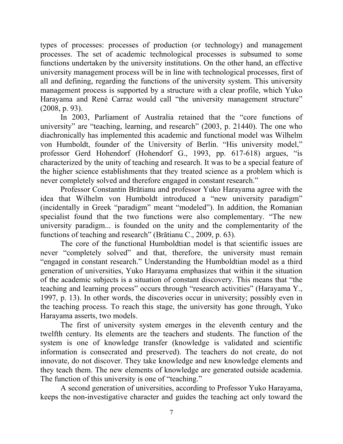types of processes: processes of production (or technology) and management processes. The set of academic technological processes is subsumed to some functions undertaken by the university institutions. On the other hand, an effective university management process will be in line with technological processes, first of all and defining, regarding the functions of the university system. This university management process is supported by a structure with a clear profile, which Yuko Harayama and René Carraz would call "the university management structure" (2008, p. 93).

 In 2003, Parliament of Australia retained that the "core functions of university" are "teaching, learning, and research" (2003, p. 21440). The one who diachronically has implemented this academic and functional model was Wilhelm von Humboldt, founder of the University of Berlin. "His university model," professor Gerd Hohendorf (Hohendorf G., 1993, pp. 617-618) argues, "is characterized by the unity of teaching and research. It was to be a special feature of the higher science establishments that they treated science as a problem which is never completely solved and therefore engaged in constant research."

 Professor Constantin Brătianu and professor Yuko Harayama agree with the idea that Wilhelm von Humboldt introduced a "new university paradigm" (incidentally in Greek "paradigm" meant "modeled"). In addition, the Romanian specialist found that the two functions were also complementary. "The new university paradigm... is founded on the unity and the complementarity of the functions of teaching and research" (Brătianu C., 2009, p. 63).

 The core of the functional Humboldtian model is that scientific issues are never "completely solved" and that, therefore, the university must remain "engaged in constant research." Understanding the Humboldtian model as a third generation of universities, Yuko Harayama emphasizes that within it the situation of the academic subjects is a situation of constant discovery. This means that "the teaching and learning process" occurs through "research activities" (Harayama Y., 1997, p. 13). In other words, the discoveries occur in university; possibly even in the teaching process. To reach this stage, the university has gone through, Yuko Harayama asserts, two models.

 The first of university system emerges in the eleventh century and the twelfth century. Its elements are the teachers and students. The function of the system is one of knowledge transfer (knowledge is validated and scientific information is consecrated and preserved). The teachers do not create, do not innovate, do not discover. They take knowledge and new knowledge elements and they teach them. The new elements of knowledge are generated outside academia. The function of this university is one of "teaching."

 A second generation of universities, according to Professor Yuko Harayama, keeps the non-investigative character and guides the teaching act only toward the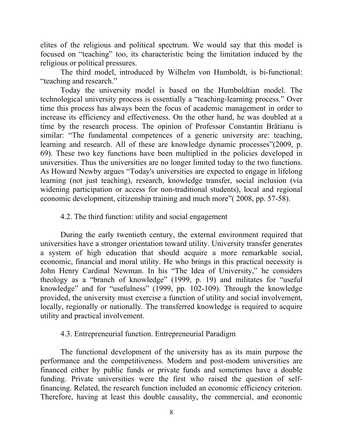elites of the religious and political spectrum. We would say that this model is focused on "teaching" too, its characteristic being the limitation induced by the religious or political pressures.

 The third model, introduced by Wilhelm von Humboldt, is bi-functional: "teaching and research."

 Today the university model is based on the Humboldtian model. The technological university process is essentially a "teaching-learning process." Over time this process has always been the focus of academic management in order to increase its efficiency and effectiveness. On the other hand, he was doubled at a time by the research process. The opinion of Professor Constantin Brătianu is similar: "The fundamental competences of a generic university are: teaching, learning and research. All of these are knowledge dynamic processes"(2009, p. 69). These two key functions have been multiplied in the policies developed in universities. Thus the universities are no longer limited today to the two functions. As Howard Newby argues "Today's universities are expected to engage in lifelong learning (not just teaching), research, knowledge transfer, social inclusion (via widening participation or access for non-traditional students), local and regional economic development, citizenship training and much more"( 2008, pp. 57-58).

#### 4.2. The third function: utility and social engagement

During the early twentieth century, the external environment required that universities have a stronger orientation toward utility. University transfer generates a system of high education that should acquire a more remarkable social, economic, financial and moral utility. He who brings in this practical necessity is John Henry Cardinal Newman. In his "The Idea of University," he considers theology as a "branch of knowledge" (1999, p. 19) and militates for "useful knowledge" and for "usefulness" (1999, pp. 102-109). Through the knowledge provided, the university must exercise a function of utility and social involvement, locally, regionally or nationally. The transferred knowledge is required to acquire utility and practical involvement.

# 4.3. Entrepreneurial function. Entrepreneurial Paradigm

 The functional development of the university has as its main purpose the performance and the competitiveness. Modern and post-modern universities are financed either by public funds or private funds and sometimes have a double funding. Private universities were the first who raised the question of selffinancing. Related, the research function included an economic efficiency criterion. Therefore, having at least this double causality, the commercial, and economic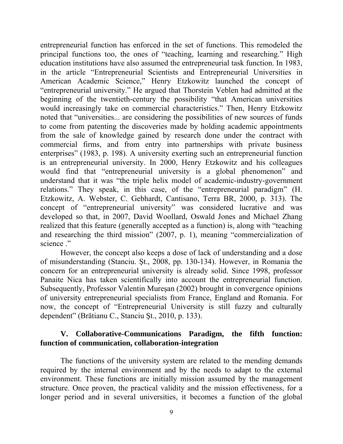entrepreneurial function has enforced in the set of functions. This remodeled the principal functions too, the ones of "teaching, learning and researching." High education institutions have also assumed the entrepreneurial task function. In 1983, in the article "Entrepreneurial Scientists and Entrepreneurial Universities in American Academic Science," Henry Etzkowitz launched the concept of "entrepreneurial university." He argued that Thorstein Veblen had admitted at the beginning of the twentieth-century the possibility "that American universities would increasingly take on commercial characteristics." Then, Henry Etzkowitz noted that "universities... are considering the possibilities of new sources of funds to come from patenting the discoveries made by holding academic appointments from the sale of knowledge gained by research done under the contract with commercial firms, and from entry into partnerships with private business enterprises" (1983, p. 198). A university exerting such an entrepreneurial function is an entrepreneurial university. In 2000, Henry Etzkowitz and his colleagues would find that "entrepreneurial university is a global phenomenon" and understand that it was "the triple helix model of academic-industry-government relations." They speak, in this case, of the "entrepreneurial paradigm" (H. Etzkowitz, A. Webster, C. Gebhardt, Cantisano, Terra BR, 2000, p. 313). The concept of "entrepreneurial university" was considered lucrative and was developed so that, in 2007, David Woollard, Oswald Jones and Michael Zhang realized that this feature (generally accepted as a function) is, along with "teaching and researching the third mission" (2007, p. 1), meaning "commercialization of science ."

 However, the concept also keeps a dose of lack of understanding and a dose of misunderstanding (Stanciu. Şt., 2008, pp. 130-134). However, in Romania the concern for an entrepreneurial university is already solid. Since 1998, professor Panaite Nica has taken scientifically into account the entrepreneurial function. Subsequently, Professor Valentin Mureşan (2002) brought in convergence opinions of university entrepreneurial specialists from France, England and Romania. For now, the concept of "Entrepreneurial University is still fuzzy and culturally dependent" (Brătianu C., Stanciu Şt., 2010, p. 133).

# **V. Collaborative-Communications Paradigm, the fifth function: function of communication, collaboration-integration**

 The functions of the university system are related to the mending demands required by the internal environment and by the needs to adapt to the external environment. These functions are initially mission assumed by the management structure. Once proven, the practical validity and the mission effectiveness, for a longer period and in several universities, it becomes a function of the global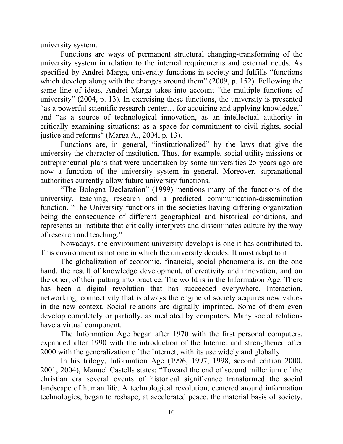university system.

Functions are ways of permanent structural changing-transforming of the university system in relation to the internal requirements and external needs. As specified by Andrei Marga, university functions in society and fulfills "functions which develop along with the changes around them" (2009, p. 152). Following the same line of ideas, Andrei Marga takes into account "the multiple functions of university" (2004, p. 13). In exercising these functions, the university is presented "as a powerful scientific research center… for acquiring and applying knowledge," and "as a source of technological innovation, as an intellectual authority in critically examining situations; as a space for commitment to civil rights, social justice and reforms" (Marga A., 2004, p. 13).

 Functions are, in general, "institutionalized" by the laws that give the university the character of institution. Thus, for example, social utility missions or entrepreneurial plans that were undertaken by some universities 25 years ago are now a function of the university system in general. Moreover, supranational authorities currently allow future university functions.

 "The Bologna Declaration" (1999) mentions many of the functions of the university, teaching, research and a predicted communication-dissemination function. "The University functions in the societies having differing organization being the consequence of different geographical and historical conditions, and represents an institute that critically interprets and disseminates culture by the way of research and teaching."

 Nowadays, the environment university develops is one it has contributed to. This environment is not one in which the university decides. It must adapt to it.

 The globalization of economic, financial, social phenomena is, on the one hand, the result of knowledge development, of creativity and innovation, and on the other, of their putting into practice. The world is in the Information Age. There has been a digital revolution that has succeeded everywhere. Interaction, networking, connectivity that is always the engine of society acquires new values in the new context. Social relations are digitally imprinted. Some of them even develop completely or partially, as mediated by computers. Many social relations have a virtual component.

 The Information Age began after 1970 with the first personal computers, expanded after 1990 with the introduction of the Internet and strengthened after 2000 with the generalization of the Internet, with its use widely and globally.

 In his trilogy, Information Age (1996, 1997, 1998, second edition 2000, 2001, 2004), Manuel Castells states: "Toward the end of second millenium of the christian era several events of historical significance transformed the social landscape of human life. A technological revolution, centered around information technologies, began to reshape, at accelerated peace, the material basis of society.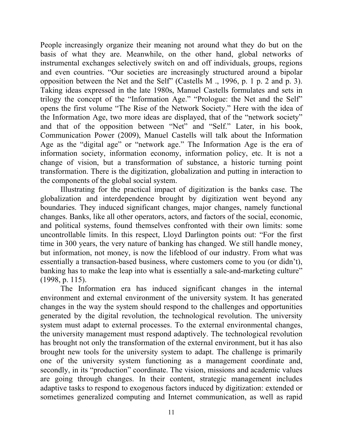People increasingly organize their meaning not around what they do but on the basis of what they are. Meanwhile, on the other hand, global networks of instrumental exchanges selectively switch on and off individuals, groups, regions and even countries. "Our societies are increasingly structured around a bipolar opposition between the Net and the Self" (Castells M ., 1996, p. 1 p. 2 and p. 3). Taking ideas expressed in the late 1980s, Manuel Castells formulates and sets in trilogy the concept of the "Information Age." "Prologue: the Net and the Self" opens the first volume "The Rise of the Network Society." Here with the idea of the Information Age, two more ideas are displayed, that of the "network society" and that of the opposition between "Net" and "Self." Later, in his book, Communication Power (2009), Manuel Castells will talk about the Information Age as the "digital age" or "network age." The Information Age is the era of information society, information economy, information policy, etc. It is not a change of vision, but a transformation of substance, a historic turning point transformation. There is the digitization, globalization and putting in interaction to the components of the global social system.

 Illustrating for the practical impact of digitization is the banks case. The globalization and interdependence brought by digitization went beyond any boundaries. They induced significant changes, major changes, namely functional changes. Banks, like all other operators, actors, and factors of the social, economic, and political systems, found themselves confronted with their own limits: some uncontrollable limits. In this respect, Lloyd Darlington points out: "For the first time in 300 years, the very nature of banking has changed. We still handle money, but information, not money, is now the lifeblood of our industry. From what was essentially a transaction-based business, where customers come to you (or didn't), banking has to make the leap into what is essentially a sale-and-marketing culture" (1998, p. 115).

 The Information era has induced significant changes in the internal environment and external environment of the university system. It has generated changes in the way the system should respond to the challenges and opportunities generated by the digital revolution, the technological revolution. The university system must adapt to external processes. To the external environmental changes, the university management must respond adaptively. The technological revolution has brought not only the transformation of the external environment, but it has also brought new tools for the university system to adapt. The challenge is primarily one of the university system functioning as a management coordinate and, secondly, in its "production" coordinate. The vision, missions and academic values are going through changes. In their content, strategic management includes adaptive tasks to respond to exogenous factors induced by digitization: extended or sometimes generalized computing and Internet communication, as well as rapid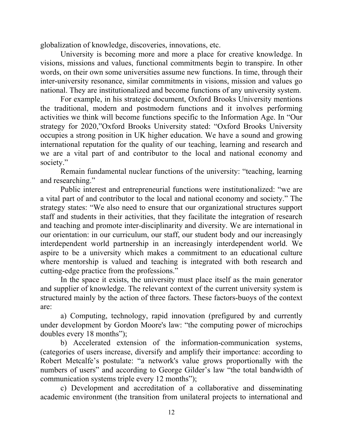globalization of knowledge, discoveries, innovations, etc.

 University is becoming more and more a place for creative knowledge. In visions, missions and values, functional commitments begin to transpire. In other words, on their own some universities assume new functions. In time, through their inter-university resonance, similar commitments in visions, mission and values go national. They are institutionalized and become functions of any university system.

 For example, in his strategic document, Oxford Brooks University mentions the traditional, modern and postmodern functions and it involves performing activities we think will become functions specific to the Information Age. In "Our strategy for 2020,"Oxford Brooks University stated: "Oxford Brooks University occupies a strong position in UK higher education. We have a sound and growing international reputation for the quality of our teaching, learning and research and we are a vital part of and contributor to the local and national economy and society."

 Remain fundamental nuclear functions of the university: "teaching, learning and researching."

 Public interest and entrepreneurial functions were institutionalized: "we are a vital part of and contributor to the local and national economy and society." The strategy states: "We also need to ensure that our organizational structures support staff and students in their activities, that they facilitate the integration of research and teaching and promote inter-disciplinarity and diversity. We are international in our orientation: in our curriculum, our staff, our student body and our increasingly interdependent world partnership in an increasingly interdependent world. We aspire to be a university which makes a commitment to an educational culture where mentorship is valued and teaching is integrated with both research and cutting-edge practice from the professions."

 In the space it exists, the university must place itself as the main generator and supplier of knowledge. The relevant context of the current university system is structured mainly by the action of three factors. These factors-buoys of the context are:

 a) Computing, technology, rapid innovation (prefigured by and currently under development by Gordon Moore's law: "the computing power of microchips doubles every 18 months");

 b) Accelerated extension of the information-communication systems, (categories of users increase, diversify and amplify their importance: according to Robert Metcalfe's postulate: "a network's value grows proportionally with the numbers of users" and according to George Gilder's law "the total bandwidth of communication systems triple every 12 months");

 c) Development and accreditation of a collaborative and disseminating academic environment (the transition from unilateral projects to international and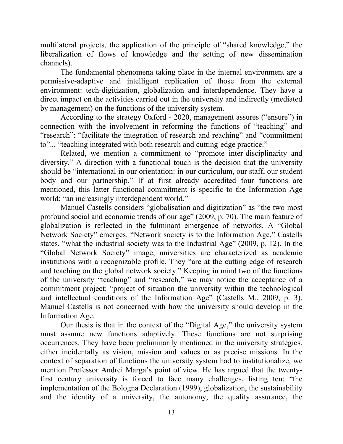multilateral projects, the application of the principle of "shared knowledge," the liberalization of flows of knowledge and the setting of new dissemination channels).

 The fundamental phenomena taking place in the internal environment are a permissive-adaptive and intelligent replication of those from the external environment: tech-digitization, globalization and interdependence. They have a direct impact on the activities carried out in the university and indirectly (mediated by management) on the functions of the university system.

 According to the strategy Oxford - 2020, management assures ("ensure") in connection with the involvement in reforming the functions of "teaching" and "research": "facilitate the integration of research and reaching" and "commitment to"... "teaching integrated with both research and cutting-edge practice."

 Related, we mention a commitment to "promote inter-disciplinarity and diversity." A direction with a functional touch is the decision that the university should be "international in our orientation: in our curriculum, our staff, our student body and our partnership." If at first already accredited four functions are mentioned, this latter functional commitment is specific to the Information Age world: "an increasingly interdependent world."

 Manuel Castells considers "globalisation and digitization" as "the two most profound social and economic trends of our age" (2009, p. 70). The main feature of globalization is reflected in the fulminant emergence of networks. A "Global Network Society" emerges. "Network society is to the Information Age," Castells states, "what the industrial society was to the Industrial Age" (2009, p. 12). In the "Global Network Society" image, universities are characterized as academic institutions with a recognizable profile. They "are at the cutting edge of research and teaching on the global network society." Keeping in mind two of the functions of the university "teaching" and "research," we may notice the acceptance of a commitment project: "project of situation the university within the technological and intellectual conditions of the Information Age" (Castells M., 2009, p. 3). Manuel Castells is not concerned with how the university should develop in the Information Age.

 Our thesis is that in the context of the "Digital Age," the university system must assume new functions adaptively. These functions are not surprising occurrences. They have been preliminarily mentioned in the university strategies, either incidentally as vision, mission and values or as precise missions. In the context of separation of functions the university system had to institutionalize, we mention Professor Andrei Marga's point of view. He has argued that the twentyfirst century university is forced to face many challenges, listing ten: "the implementation of the Bologna Declaration (1999), globalization, the sustainability and the identity of a university, the autonomy, the quality assurance, the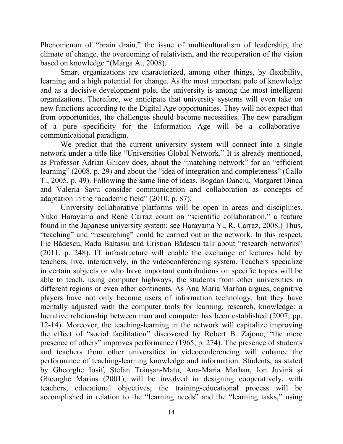Phenomenon of "brain drain," the issue of multiculturalism of leadership, the climate of change, the overcoming of relativism, and the recuperation of the vision based on knowledge "(Marga A., 2008).

 Smart organizations are characterized, among other things, by flexibility, learning and a high potential for change. As the most important pole of knowledge and as a decisive development pole, the university is among the most intelligent organizations. Therefore, we anticipate that university systems will even take on new functions according to the Digital Age opportunities. They will not expect that from opportunities, the challenges should become necessities. The new paradigm of a pure specificity for the Information Age will be a collaborativecommunicational paradigm.

 We predict that the current university system will connect into a single network under a title like "Universities Global Network." It is already mentioned, as Professor Adrian Ghicov does, about the "matching network" for an "efficient learning" (2008, p. 29) and about the "idea of integration and completeness" (Callo T., 2005, p. 49). Following the same line of ideas, Bogdan Danciu, Margaret Dinca and Valeria Savu consider communication and collaboration as concepts of adaptation in the "academic field" (2010, p. 87).

 University collaborative platforms will be open in areas and disciplines. Yuko Harayama and René Carraz count on "scientific collaboration," a feature found in the Japanese university system; see Harayama Y., R. Carraz, 2008.) Thus, "teaching" and "researching" could be carried out in the network. In this respect, Ilie Bădescu, Radu Baltasiu and Cristian Bădescu talk about "research networks" (2011, p. 248). IT infrastructure will enable the exchange of lectures held by teachers, live, interactively, in the videoconferencing system. Teachers specialize in certain subjects or who have important contributions on specific topics will be able to teach, using computer highways, the students from other universities in different regions or even other continents. As Ana Maria Marhan argues, cognitive players have not only become users of information technology, but they have mentally adjusted with the computer tools for learning, research, knowledge: a lucrative relationship between man and computer has been established (2007, pp. 12-14). Moreover, the teaching-learning in the network will capitalize improving the effect of "social facilitation" discovered by Robert B. Zajonc; "the mere presence of others" improves performance (1965, p. 274). The presence of students and teachers from other universities in videoconferencing will enhance the performance of teaching-learning knowledge and information. Students, as stated by Gheorghe Iosif, Ştefan Trăuşan-Matu, Ana-Maria Marhan, Ion Juvină şi Gheorghe Marius (2001), will be involved in designing cooperatively, with teachers, educational objectives; the training-educational process will be accomplished in relation to the "learning needs" and the "learning tasks," using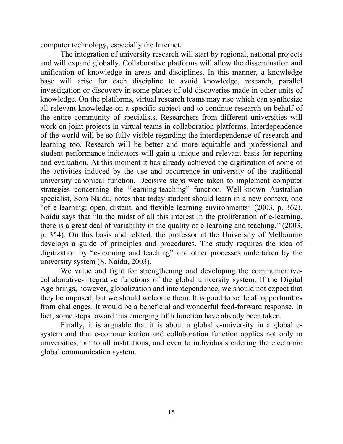computer technology, especially the Internet.

 The integration of university research will start by regional, national projects and will expand globally. Collaborative platforms will allow the dissemination and unification of knowledge in areas and disciplines. In this manner, a knowledge base will arise for each discipline to avoid knowledge, research, parallel investigation or discovery in some places of old discoveries made in other units of knowledge. On the platforms, virtual research teams may rise which can synthesize all relevant knowledge on a specific subject and to continue research on behalf of the entire community of specialists. Researchers from different universities will work on joint projects in virtual teams in collaboration platforms. Interdependence of the world will be so fully visible regarding the interdependence of research and learning too. Research will be better and more equitable and professional and student performance indicators will gain a unique and relevant basis for reporting and evaluation. At this moment it has already achieved the digitization of some of the activities induced by the use and occurrence in university of the traditional university-canonical function. Decisive steps were taken to implement computer strategies concerning the "learning-teaching" function. Well-known Australian specialist, Som Naidu, notes that today student should learn in a new context, one "of e-learning; open, distant, and flexible learning environments" (2003, p. 362). Naidu says that "In the midst of all this interest in the proliferation of e-learning, there is a great deal of variability in the quality of e-learning and teaching." (2003, p. 354). On this basis and related, the professor at the University of Melbourne develops a guide of principles and procedures. The study requires the idea of digitization by "e-learning and teaching" and other processes undertaken by the university system (S. Naidu, 2003).

 We value and fight for strengthening and developing the communicativecollaborative-integrative functions of the global university system. If the Digital Age brings, however, globalization and interdependence, we should not expect that they be imposed, but we should welcome them. It is good to settle all opportunities from challenges. It would be a beneficial and wonderful feed-forward response. In fact, some steps toward this emerging fifth function have already been taken.

 Finally, it is arguable that it is about a global e-university in a global esystem and that e-communication and collaboration function applies not only to universities, but to all institutions, and even to individuals entering the electronic global communication system.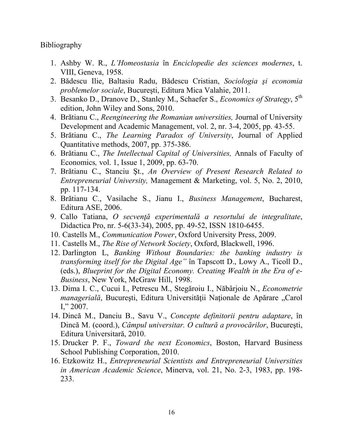Bibliography

- 1. Ashby W. R., *L'Homeostasia* în *Enciclopedie des sciences modernes*, t. VIII, Geneva, 1958.
- 2. Bădescu Ilie, Baltasiu Radu, Bădescu Cristian, *Sociologia şi economia problemelor sociale*, Bucureşti, Editura Mica Valahie, 2011.
- 3. Besanko D., Dranove D., Stanley M., Schaefer S., *Economics of Strategy*, 5th edition, John Wiley and Sons, 2010.
- 4. Brătianu C., *Reengineering the Romanian universities,* Journal of University Development and Academic Management, vol. 2, nr. 3-4, 2005, pp. 43-55.
- 5. Brătianu C., *The Learning Paradox of University*, Journal of Applied Quantitative methods, 2007, pp. 375-386.
- 6. Brătianu C., *The Intellectual Capital of Universities,* Annals of Faculty of Economics*,* vol. 1, Issue 1, 2009, pp. 63-70.
- 7. Brătianu C., Stanciu Şt., *An Overview of Present Research Related to Entrepreneurial University,* Management & Marketing, vol. 5, No. 2, 2010, pp. 117-134.
- 8. Brătianu C., Vasilache S., Jianu I., *Business Management*, Bucharest, Editura ASE, 2006.
- 9. Callo Tatiana, *O secvenţă experimentală a resortului de integralitate*, Didactica Pro, nr. 5-6(33-34), 2005, pp. 49-52, ISSN 1810-6455.
- 10. Castells M., *Communication Power*, Oxford University Press, 2009.
- 11. Castells M., *The Rise of Network Society*, Oxford, Blackwell, 1996.
- 12. Darlington L, *Banking Without Boundaries: the banking industry is transforming itself for the Digital Age"* în Tapscott D., Lowy A., Ticoll D., (eds.), *Blueprint for the Digital Economy. Creating Wealth in the Era of e-Business*, New York, McGraw Hill, 1998.
- 13. Dima I. C., Cucui I., Petrescu M., Stegăroiu I., Năbârjoiu N., *Econometrie managerială*, București, Editura Universității Naționale de Apărare "Carol I,"  $2007$ .
- 14. Dincă M., Danciu B., Savu V., *Concepte definitorii pentru adaptare*, în Dincă M. (coord.), *Câmpul universitar. O cultură a provocărilor*, Bucureşti, Editura Universitară, 2010.
- 15. Drucker P. F., *Toward the next Economics*, Boston, Harvard Business School Publishing Corporation, 2010.
- 16. Etzkowitz H., *Entrepreneurial Scientists and Entrepreneurial Universities in American Academic Science*, Minerva, vol. 21, No. 2-3, 1983, pp. 198- 233.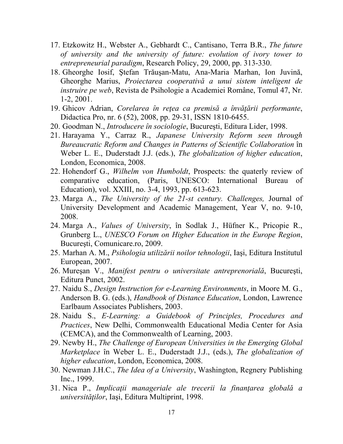- 17. Etzkowitz H., Webster A., Gebhardt C., Cantisano, Terra B.R., *The future of university and the university of future: evolution of ivory tower to entrepreneurial paradigm*, Research Policy, 29, 2000, pp. 313-330.
- 18. Gheorghe Iosif, Ştefan Trăuşan-Matu, Ana-Maria Marhan, Ion Juvină, Gheorghe Marius, *Proiectarea cooperativă a unui sistem inteligent de instruire pe web*, Revista de Psihologie a Academiei Române, Tomul 47, Nr. 1-2, 2001.
- 19. Ghicov Adrian, *Corelarea în reţea ca premisă a învăţării performante*, Didactica Pro, nr. 6 (52), 2008, pp. 29-31, ISSN 1810-6455.
- 20. Goodman N., *Introducere în sociologie*, Bucureşti, Editura Lider, 1998.
- 21. Harayama Y., Carraz R., *Japanese University Reform seen through Bureaucratic Reform and Changes in Patterns of Scientific Collaboration* în Weber L. E., Duderstadt J.J. (eds.), *The globalization of higher education*, London, Economica, 2008.
- 22. Hohendorf G., *Wilhelm von Humboldt*, Prospects: the quaterly review of comparative education, (Paris, UNESCO: International Bureau of Education), vol. XXIII, no. 3-4, 1993, pp. 613-623.
- 23. Marga A., *The University of the 21-st century. Challenges,* Journal of University Development and Academic Management, Year V, no. 9-10, 2008.
- 24. Marga A., *Values of University*, în Sodlak J., Hüfner K., Pricopie R., Grunberg L., *UNESCO Forum on Higher Education in the Europe Region*, Bucureşti, Comunicare.ro, 2009.
- 25. Marhan A. M., *Psihologia utilizării noilor tehnologii*, Iaşi, Editura Institutul European, 2007.
- 26. Mureşan V., *Manifest pentru o universitate antreprenorială*, Bucureşti, Editura Punct, 2002.
- 27. Naidu S., *Design Instruction for e-Learning Environments*, in Moore M. G., Anderson B. G. (eds.), *Handbook of Distance Education*, London, Lawrence Earlbaum Associates Publishers, 2003.
- 28. Naidu S., *E-Learning: a Guidebook of Principles, Procedures and Practices*, New Delhi, Commonwealth Educational Media Center for Asia (CEMCA), and the Commonwealth of Learning, 2003.
- 29. Newby H., *The Challenge of European Universities in the Emerging Global Marketplace* în Weber L. E., Duderstadt J.J., (eds.), *The globalization of higher education*, London, Economica, 2008.
- 30. Newman J.H.C., *The Idea of a University*, Washington, Regnery Publishing Inc., 1999.
- 31. Nica P., *Implicaţii manageriale ale trecerii la finanţarea globală a universităţilor*, Iaşi, Editura Multiprint, 1998.